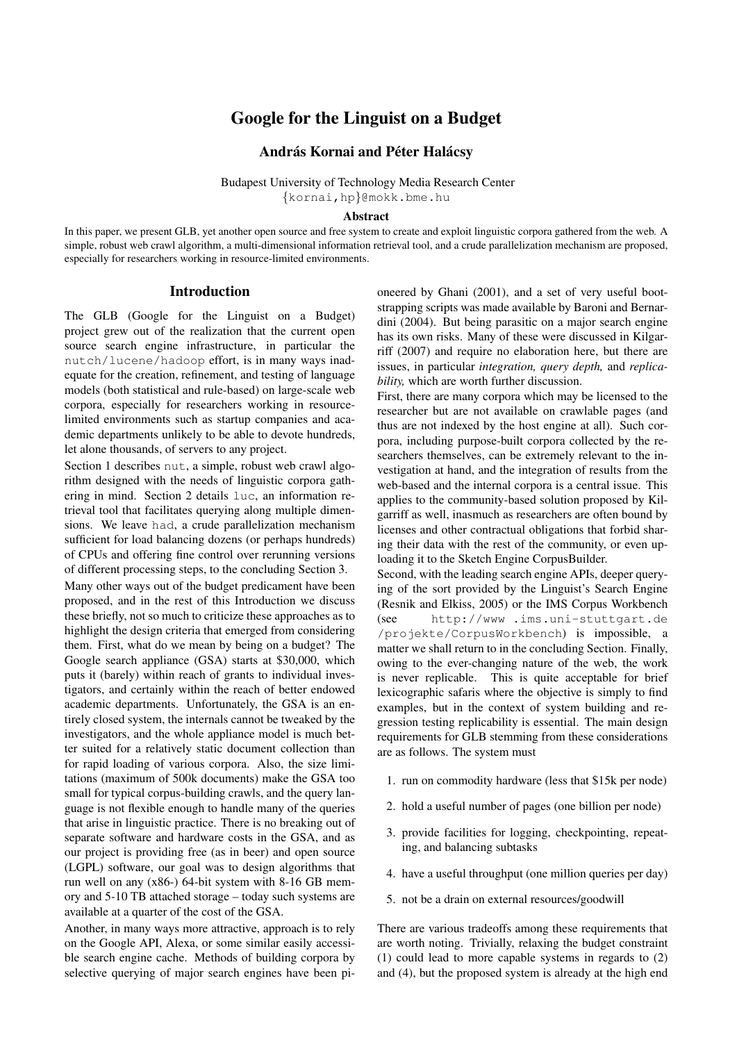# Google for the Linguist on a Budget

# András Kornai and Péter Halácsy

Budapest University of Technology Media Research Center {kornai,hp}@mokk.bme.hu

### Abstract

In this paper, we present GLB, yet another open source and free system to create and exploit linguistic corpora gathered from the web. A simple, robust web crawl algorithm, a multi-dimensional information retrieval tool, and a crude parallelization mechanism are proposed, especially for researchers working in resource-limited environments.

# Introduction

The GLB (Google for the Linguist on a Budget) project grew out of the realization that the current open source search engine infrastructure, in particular the nutch/lucene/hadoop effort, is in many ways inadequate for the creation, refinement, and testing of language models (both statistical and rule-based) on large-scale web corpora, especially for researchers working in resourcelimited environments such as startup companies and academic departments unlikely to be able to devote hundreds, let alone thousands, of servers to any project.

Section 1 describes nut, a simple, robust web crawl algorithm designed with the needs of linguistic corpora gathering in mind. Section 2 details luc, an information retrieval tool that facilitates querying along multiple dimensions. We leave had, a crude parallelization mechanism sufficient for load balancing dozens (or perhaps hundreds) of CPUs and offering fine control over rerunning versions of different processing steps, to the concluding Section 3.

Many other ways out of the budget predicament have been proposed, and in the rest of this Introduction we discuss these briefly, not so much to criticize these approaches as to highlight the design criteria that emerged from considering them. First, what do we mean by being on a budget? The Google search appliance (GSA) starts at \$30,000, which puts it (barely) within reach of grants to individual investigators, and certainly within the reach of better endowed academic departments. Unfortunately, the GSA is an entirely closed system, the internals cannot be tweaked by the investigators, and the whole appliance model is much better suited for a relatively static document collection than for rapid loading of various corpora. Also, the size limitations (maximum of 500k documents) make the GSA too small for typical corpus-building crawls, and the query language is not flexible enough to handle many of the queries that arise in linguistic practice. There is no breaking out of separate software and hardware costs in the GSA, and as our project is providing free (as in beer) and open source (LGPL) software, our goal was to design algorithms that run well on any (x86-) 64-bit system with 8-16 GB memory and 5-10 TB attached storage – today such systems are available at a quarter of the cost of the GSA.

Another, in many ways more attractive, approach is to rely on the Google API, Alexa, or some similar easily accessible search engine cache. Methods of building corpora by selective querying of major search engines have been pioneered by Ghani (2001), and a set of very useful bootstrapping scripts was made available by Baroni and Bernardini (2004). But being parasitic on a major search engine has its own risks. Many of these were discussed in Kilgarriff (2007) and require no elaboration here, but there are issues, in particular *integration, query depth,* and *replicability,* which are worth further discussion.

First, there are many corpora which may be licensed to the researcher but are not available on crawlable pages (and thus are not indexed by the host engine at all). Such corpora, including purpose-built corpora collected by the researchers themselves, can be extremely relevant to the investigation at hand, and the integration of results from the web-based and the internal corpora is a central issue. This applies to the community-based solution proposed by Kilgarriff as well, inasmuch as researchers are often bound by licenses and other contractual obligations that forbid sharing their data with the rest of the community, or even uploading it to the Sketch Engine CorpusBuilder.

Second, with the leading search engine APIs, deeper querying of the sort provided by the Linguist's Search Engine (Resnik and Elkiss, 2005) or the IMS Corpus Workbench (see http://www .ims.uni-stuttgart.de /projekte/CorpusWorkbench) is impossible, a matter we shall return to in the concluding Section. Finally, owing to the ever-changing nature of the web, the work is never replicable. This is quite acceptable for brief lexicographic safaris where the objective is simply to find examples, but in the context of system building and regression testing replicability is essential. The main design requirements for GLB stemming from these considerations are as follows. The system must

- 1. run on commodity hardware (less that \$15k per node)
- 2. hold a useful number of pages (one billion per node)
- 3. provide facilities for logging, checkpointing, repeating, and balancing subtasks
- 4. have a useful throughput (one million queries per day)
- 5. not be a drain on external resources/goodwill

There are various tradeoffs among these requirements that are worth noting. Trivially, relaxing the budget constraint (1) could lead to more capable systems in regards to (2) and (4), but the proposed system is already at the high end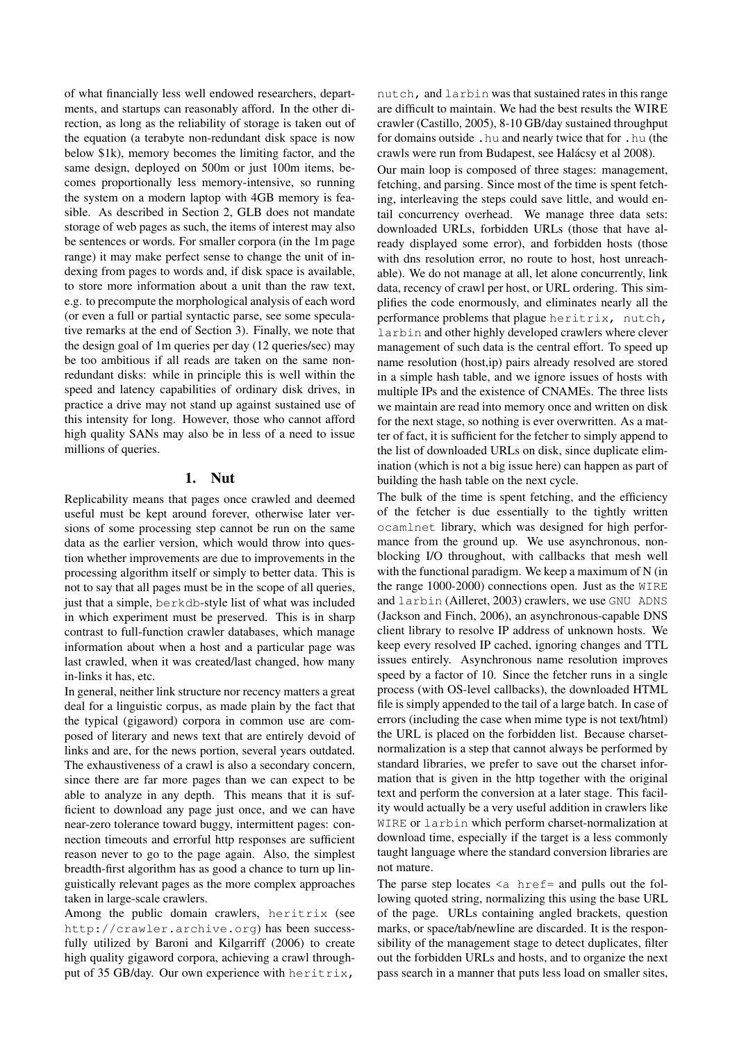of what financially less well endowed researchers, departments, and startups can reasonably afford. In the other direction, as long as the reliability of storage is taken out of the equation (a terabyte non-redundant disk space is now below \$1k), memory becomes the limiting factor, and the same design, deployed on 500m or just 100m items, becomes proportionally less memory-intensive, so running the system on a modern laptop with 4GB memory is feasible. As described in Section 2, GLB does not mandate storage of web pages as such, the items of interest may also be sentences or words. For smaller corpora (in the 1m page range) it may make perfect sense to change the unit of indexing from pages to words and, if disk space is available, to store more information about a unit than the raw text, e.g. to precompute the morphological analysis of each word (or even a full or partial syntactic parse, see some speculative remarks at the end of Section 3). Finally, we note that the design goal of 1m queries per day (12 queries/sec) may be too ambitious if all reads are taken on the same nonredundant disks: while in principle this is well within the speed and latency capabilities of ordinary disk drives, in practice a drive may not stand up against sustained use of this intensity for long. However, those who cannot afford high quality SANs may also be in less of a need to issue millions of queries.

## 1. Nut

Replicability means that pages once crawled and deemed useful must be kept around forever, otherwise later versions of some processing step cannot be run on the same data as the earlier version, which would throw into question whether improvements are due to improvements in the processing algorithm itself or simply to better data. This is not to say that all pages must be in the scope of all queries, just that a simple, berkdb-style list of what was included in which experiment must be preserved. This is in sharp contrast to full-function crawler databases, which manage information about when a host and a particular page was last crawled, when it was created/last changed, how many in-links it has, etc.

In general, neither link structure nor recency matters a great deal for a linguistic corpus, as made plain by the fact that the typical (gigaword) corpora in common use are composed of literary and news text that are entirely devoid of links and are, for the news portion, several years outdated. The exhaustiveness of a crawl is also a secondary concern, since there are far more pages than we can expect to be able to analyze in any depth. This means that it is sufficient to download any page just once, and we can have near-zero tolerance toward buggy, intermittent pages: connection timeouts and errorful http responses are sufficient reason never to go to the page again. Also, the simplest breadth-first algorithm has as good a chance to turn up linguistically relevant pages as the more complex approaches taken in large-scale crawlers.

Among the public domain crawlers, heritrix (see http://crawler.archive.org) has been successfully utilized by Baroni and Kilgarriff (2006) to create high quality gigaword corpora, achieving a crawl throughput of 35 GB/day. Our own experience with heritrix,

nutch, and larbin was that sustained rates in this range are difficult to maintain. We had the best results the WIRE crawler (Castillo, 2005), 8-10 GB/day sustained throughput for domains outside .hu and nearly twice that for .hu (the crawls were run from Budapest, see Halácsy et al 2008).

Our main loop is composed of three stages: management, fetching, and parsing. Since most of the time is spent fetching, interleaving the steps could save little, and would entail concurrency overhead. We manage three data sets: downloaded URLs, forbidden URLs (those that have already displayed some error), and forbidden hosts (those with dns resolution error, no route to host, host unreachable). We do not manage at all, let alone concurrently, link data, recency of crawl per host, or URL ordering. This simplifies the code enormously, and eliminates nearly all the performance problems that plague heritrix, nutch, larbin and other highly developed crawlers where clever management of such data is the central effort. To speed up name resolution (host,ip) pairs already resolved are stored in a simple hash table, and we ignore issues of hosts with multiple IPs and the existence of CNAMEs. The three lists we maintain are read into memory once and written on disk for the next stage, so nothing is ever overwritten. As a matter of fact, it is sufficient for the fetcher to simply append to the list of downloaded URLs on disk, since duplicate elimination (which is not a big issue here) can happen as part of building the hash table on the next cycle.

The bulk of the time is spent fetching, and the efficiency of the fetcher is due essentially to the tightly written ocamlnet library, which was designed for high performance from the ground up. We use asynchronous, nonblocking I/O throughout, with callbacks that mesh well with the functional paradigm. We keep a maximum of N (in the range 1000-2000) connections open. Just as the WIRE and larbin (Ailleret, 2003) crawlers, we use GNU ADNS (Jackson and Finch, 2006), an asynchronous-capable DNS client library to resolve IP address of unknown hosts. We keep every resolved IP cached, ignoring changes and TTL issues entirely. Asynchronous name resolution improves speed by a factor of 10. Since the fetcher runs in a single process (with OS-level callbacks), the downloaded HTML file is simply appended to the tail of a large batch. In case of errors (including the case when mime type is not text/html) the URL is placed on the forbidden list. Because charsetnormalization is a step that cannot always be performed by standard libraries, we prefer to save out the charset information that is given in the http together with the original text and perform the conversion at a later stage. This facility would actually be a very useful addition in crawlers like WIRE or larbin which perform charset-normalization at download time, especially if the target is a less commonly taught language where the standard conversion libraries are not mature.

The parse step locates  $\leq a$  href= and pulls out the following quoted string, normalizing this using the base URL of the page. URLs containing angled brackets, question marks, or space/tab/newline are discarded. It is the responsibility of the management stage to detect duplicates, filter out the forbidden URLs and hosts, and to organize the next pass search in a manner that puts less load on smaller sites,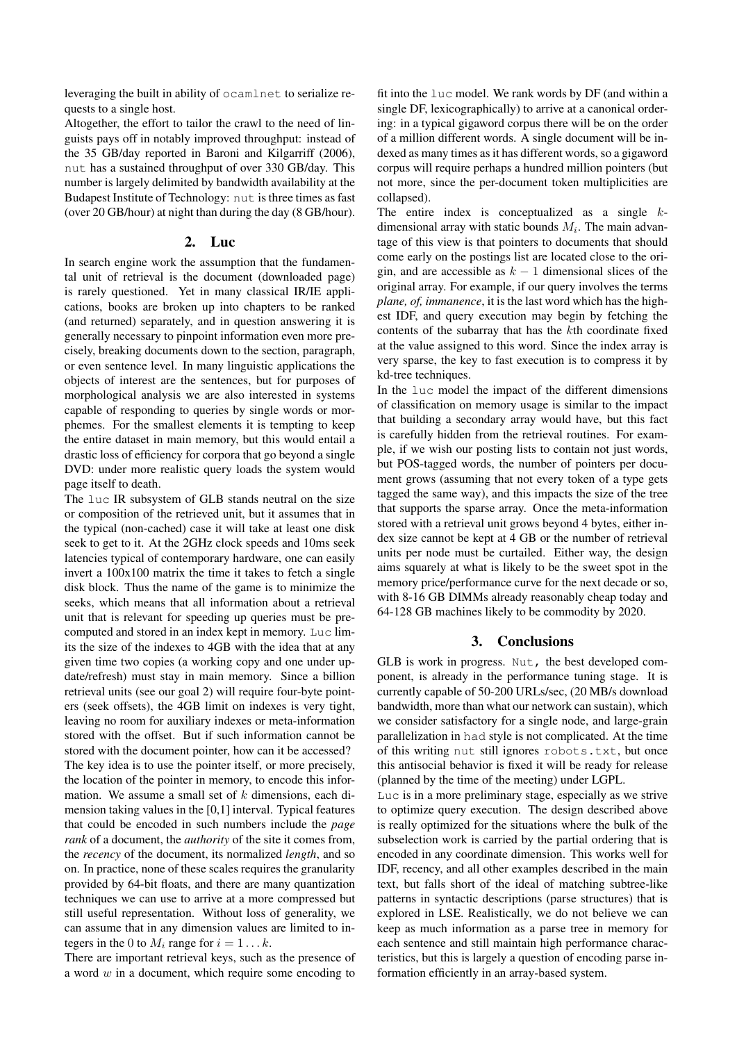leveraging the built in ability of ocamlnet to serialize requests to a single host.

Altogether, the effort to tailor the crawl to the need of linguists pays off in notably improved throughput: instead of the 35 GB/day reported in Baroni and Kilgarriff (2006), nut has a sustained throughput of over 330 GB/day. This number is largely delimited by bandwidth availability at the Budapest Institute of Technology: nut is three times as fast (over 20 GB/hour) at night than during the day (8 GB/hour).

### 2. Luc

In search engine work the assumption that the fundamental unit of retrieval is the document (downloaded page) is rarely questioned. Yet in many classical IR/IE applications, books are broken up into chapters to be ranked (and returned) separately, and in question answering it is generally necessary to pinpoint information even more precisely, breaking documents down to the section, paragraph, or even sentence level. In many linguistic applications the objects of interest are the sentences, but for purposes of morphological analysis we are also interested in systems capable of responding to queries by single words or morphemes. For the smallest elements it is tempting to keep the entire dataset in main memory, but this would entail a drastic loss of efficiency for corpora that go beyond a single DVD: under more realistic query loads the system would page itself to death.

The luc IR subsystem of GLB stands neutral on the size or composition of the retrieved unit, but it assumes that in the typical (non-cached) case it will take at least one disk seek to get to it. At the 2GHz clock speeds and 10ms seek latencies typical of contemporary hardware, one can easily invert a 100x100 matrix the time it takes to fetch a single disk block. Thus the name of the game is to minimize the seeks, which means that all information about a retrieval unit that is relevant for speeding up queries must be precomputed and stored in an index kept in memory. Luc limits the size of the indexes to 4GB with the idea that at any given time two copies (a working copy and one under update/refresh) must stay in main memory. Since a billion retrieval units (see our goal 2) will require four-byte pointers (seek offsets), the 4GB limit on indexes is very tight, leaving no room for auxiliary indexes or meta-information stored with the offset. But if such information cannot be stored with the document pointer, how can it be accessed? The key idea is to use the pointer itself, or more precisely, the location of the pointer in memory, to encode this information. We assume a small set of  $k$  dimensions, each dimension taking values in the [0,1] interval. Typical features that could be encoded in such numbers include the *page rank* of a document, the *authority* of the site it comes from, the *recency* of the document, its normalized *length*, and so on. In practice, none of these scales requires the granularity provided by 64-bit floats, and there are many quantization techniques we can use to arrive at a more compressed but still useful representation. Without loss of generality, we can assume that in any dimension values are limited to integers in the 0 to  $M_i$  range for  $i = 1...k$ .

There are important retrieval keys, such as the presence of a word  $w$  in a document, which require some encoding to fit into the luc model. We rank words by DF (and within a single DF, lexicographically) to arrive at a canonical ordering: in a typical gigaword corpus there will be on the order of a million different words. A single document will be indexed as many times as it has different words, so a gigaword corpus will require perhaps a hundred million pointers (but not more, since the per-document token multiplicities are collapsed).

The entire index is conceptualized as a single  $k$ dimensional array with static bounds  $M_i$ . The main advantage of this view is that pointers to documents that should come early on the postings list are located close to the origin, and are accessible as  $k - 1$  dimensional slices of the original array. For example, if our query involves the terms *plane, of, immanence*, it is the last word which has the highest IDF, and query execution may begin by fetching the contents of the subarray that has the kth coordinate fixed at the value assigned to this word. Since the index array is very sparse, the key to fast execution is to compress it by kd-tree techniques.

In the luc model the impact of the different dimensions of classification on memory usage is similar to the impact that building a secondary array would have, but this fact is carefully hidden from the retrieval routines. For example, if we wish our posting lists to contain not just words, but POS-tagged words, the number of pointers per document grows (assuming that not every token of a type gets tagged the same way), and this impacts the size of the tree that supports the sparse array. Once the meta-information stored with a retrieval unit grows beyond 4 bytes, either index size cannot be kept at 4 GB or the number of retrieval units per node must be curtailed. Either way, the design aims squarely at what is likely to be the sweet spot in the memory price/performance curve for the next decade or so, with 8-16 GB DIMMs already reasonably cheap today and 64-128 GB machines likely to be commodity by 2020.

# 3. Conclusions

GLB is work in progress. Nut, the best developed component, is already in the performance tuning stage. It is currently capable of 50-200 URLs/sec, (20 MB/s download bandwidth, more than what our network can sustain), which we consider satisfactory for a single node, and large-grain parallelization in had style is not complicated. At the time of this writing nut still ignores robots.txt, but once this antisocial behavior is fixed it will be ready for release (planned by the time of the meeting) under LGPL.

Luc is in a more preliminary stage, especially as we strive to optimize query execution. The design described above is really optimized for the situations where the bulk of the subselection work is carried by the partial ordering that is encoded in any coordinate dimension. This works well for IDF, recency, and all other examples described in the main text, but falls short of the ideal of matching subtree-like patterns in syntactic descriptions (parse structures) that is explored in LSE. Realistically, we do not believe we can keep as much information as a parse tree in memory for each sentence and still maintain high performance characteristics, but this is largely a question of encoding parse information efficiently in an array-based system.